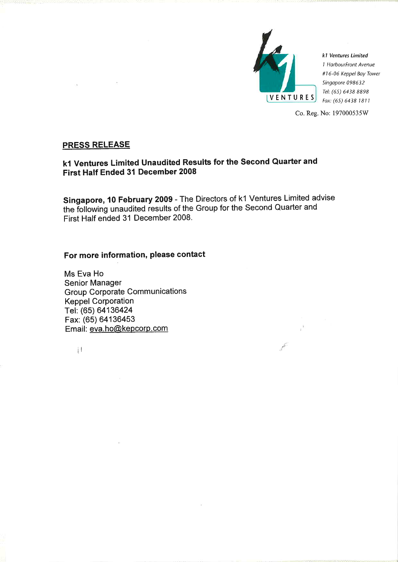

k1 Ventures Limited 1 HarbourFront Avenue #16-06 Keppel Bay Tower Singapore 098632 Tel: (65) 6438 8898 Fax: (65) 6438 1811

Co. Reg. No: 197000535W

 $\kappa^{\rm K}$  .

 $\mathcal{E}^{\mathcal{C}}$ 

# **PRESS RELEASE**

# k1 Ventures Limited Unaudited Results for the Second Quarter and First Half Ended 31 December 2008

Singapore, 10 February 2009 - The Directors of k1 Ventures Limited advise the following unaudited results of the Group for the Second Quarter and First Half ended 31 December 2008.

# For more information, please contact

Ms Eva Ho Senior Manager **Group Corporate Communications Keppel Corporation** Tel: (65) 64136424 Fax: (65) 64136453 Email: eva.ho@kepcorp.com

 $\mathbf{1}$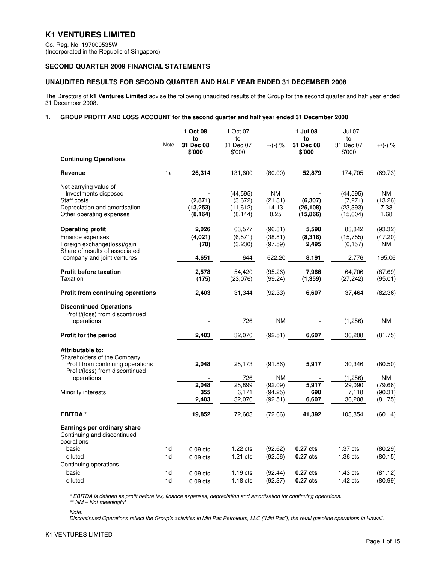# **K1 VENTURES LIMITED**

Co. Reg. No. 197000535W (Incorporated in the Republic of Singapore)

# **SECOND QUARTER 2009 FINANCIAL STATEMENTS**

# **UNAUDITED RESULTS FOR SECOND QUARTER AND HALF YEAR ENDED 31 DECEMBER 2008**

The Directors of **k1 Ventures Limited** advise the following unaudited results of the Group for the second quarter and half year ended 31 December 2008.

## **1. GROUP PROFIT AND LOSS ACCOUNT for the second quarter and half year ended 31 December 2008**

|                                                                  | Note | 1 Oct 08<br>to<br>31 Dec 08 | 1 Oct 07<br>to<br>31 Dec 07 | $+$ /(-) %           | 1 Jul 08<br>to<br>31 Dec 08 | 1 Jul 07<br>to<br>31 Dec 07 | $+$ /(-) %           |
|------------------------------------------------------------------|------|-----------------------------|-----------------------------|----------------------|-----------------------------|-----------------------------|----------------------|
| <b>Continuing Operations</b>                                     |      | \$'000                      | \$'000                      |                      | \$'000                      | \$'000                      |                      |
|                                                                  |      |                             |                             |                      |                             |                             |                      |
| Revenue                                                          | 1a   | 26,314                      | 131,600                     | (80.00)              | 52,879                      | 174,705                     | (69.73)              |
| Net carrying value of                                            |      |                             |                             |                      |                             |                             |                      |
| Investments disposed<br>Staff costs                              |      | (2,871)                     | (44, 595)<br>(3,672)        | <b>NM</b><br>(21.81) | (6, 307)                    | (44, 595)<br>(7, 271)       | <b>NM</b><br>(13.26) |
| Depreciation and amortisation                                    |      | (13, 253)                   | (11, 612)                   | 14.13                | (25, 108)                   | (23, 393)                   | 7.33                 |
| Other operating expenses                                         |      | (8, 164)                    | (8, 144)                    | 0.25                 | (15, 866)                   | (15,604)                    | 1.68                 |
| <b>Operating profit</b>                                          |      | 2,026                       | 63,577                      | (96.81)              | 5,598                       | 83,842                      | (93.32)              |
| Finance expenses                                                 |      | (4,021)                     | (6, 571)                    | (38.81)              | (8,318)                     | (15, 755)                   | (47.20)              |
| Foreign exchange(loss)/gain<br>Share of results of associated    |      | (78)                        | (3,230)                     | (97.59)              | 2,495                       | (6, 157)                    | NM.                  |
| company and joint ventures                                       |      | 4,651                       | 644                         | 622.20               | 8,191                       | 2,776                       | 195.06               |
| <b>Profit before taxation</b>                                    |      | 2,578                       | 54,420                      | (95.26)              | 7,966                       | 64,706                      | (87.69)              |
| Taxation                                                         |      | (175)                       | (23,076)                    | (99.24)              | (1, 359)                    | (27, 242)                   | (95.01)              |
| <b>Profit from continuing operations</b>                         |      | 2,403                       | 31,344                      | (92.33)              | 6,607                       | 37,464                      | (82.36)              |
| <b>Discontinued Operations</b>                                   |      |                             |                             |                      |                             |                             |                      |
| Profit/(loss) from discontinued<br>operations                    |      |                             | 726                         |                      |                             | (1, 256)                    | ΝM                   |
| <b>Profit for the period</b>                                     |      | 2,403                       | 32,070                      | (92.51)              | 6,607                       | 36,208                      | (81.75)              |
|                                                                  |      |                             |                             |                      |                             |                             |                      |
| Attributable to:                                                 |      |                             |                             |                      |                             |                             |                      |
| Shareholders of the Company<br>Profit from continuing operations |      | 2,048                       | 25,173                      | (91.86)              | 5,917                       | 30,346                      | (80.50)              |
| Profit/(loss) from discontinued                                  |      |                             |                             | <b>NM</b>            |                             |                             | <b>NM</b>            |
| operations                                                       |      | 2,048                       | 726<br>25,899               | (92.09)              | 5,917                       | (1,256)<br>29.090           | (79.66)              |
| Minority interests                                               |      | 355                         | 6,171                       | (94.25)              | 690                         | 7,118                       | (90.31)              |
|                                                                  |      | 2,403                       | 32,070                      | (92.51)              | 6,607                       | 36,208                      | (81.75)              |
| <b>EBITDA*</b>                                                   |      | 19,852                      | 72,603                      | (72.66)              | 41,392                      | 103,854                     | (60.14)              |
| Earnings per ordinary share<br>Continuing and discontinued       |      |                             |                             |                      |                             |                             |                      |
| operations                                                       |      |                             |                             |                      |                             |                             |                      |
| basic                                                            | 1d   | $0.09$ cts                  | $1.22$ cts                  | (92.62)              | 0.27 cts                    | $1.37$ cts                  | (80.29)              |
| diluted                                                          | 1d   | $0.09$ cts                  | $1.21$ cts                  | (92.56)              | $0.27$ cts                  | $1.36$ cts                  | (80.15)              |
| Continuing operations                                            |      |                             |                             |                      |                             |                             |                      |
| basic                                                            | 1d   | $0.09$ cts                  | $1.19$ cts                  | (92.44)              | $0.27$ cts                  | $1.43$ cts                  | (81.12)              |
| diluted                                                          | 1d   | $0.09$ cts                  | $1.18$ cts                  | (92.37)              | $0.27$ cts                  | $1.42 \text{ cts}$          | (80.99)              |

\* EBITDA is defined as profit before tax, finance expenses, depreciation and amortisation for continuing operations. \*\* NM – Not meaningful

Note:

Discontinued Operations reflect the Group's activities in Mid Pac Petroleum, LLC ("Mid Pac"), the retail gasoline operations in Hawaii.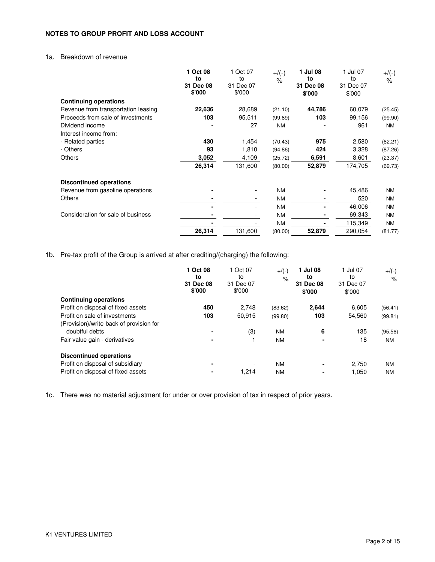# **NOTES TO GROUP PROFIT AND LOSS ACCOUNT**

# 1a. Breakdown of revenue

|                                     | Oct 08<br>to<br>31 Dec 08<br>\$'000 | 1 Oct 07<br>to<br>31 Dec 07<br>\$'000 | $+$ /(-)<br>$\%$ | 1 Jul 08<br>to<br>31 Dec 08<br>\$'000 | 1 Jul 07<br>to<br>31 Dec 07<br>\$'000 | $+$ /(-)<br>$\%$ |
|-------------------------------------|-------------------------------------|---------------------------------------|------------------|---------------------------------------|---------------------------------------|------------------|
| <b>Continuing operations</b>        |                                     |                                       |                  |                                       |                                       |                  |
| Revenue from transportation leasing | 22,636                              | 28,689                                | (21.10)          | 44,786                                | 60,079                                | (25.45)          |
| Proceeds from sale of investments   | 103                                 | 95,511                                | (99.89)          | 103                                   | 99,156                                | (99.90)          |
| Dividend income                     |                                     | 27                                    | <b>NM</b>        |                                       | 961                                   | <b>NM</b>        |
| Interest income from:               |                                     |                                       |                  |                                       |                                       |                  |
| - Related parties                   | 430                                 | 1,454                                 | (70.43)          | 975                                   | 2,580                                 | (62.21)          |
| - Others                            | 93                                  | 1,810                                 | (94.86)          | 424                                   | 3,328                                 | (87.26)          |
| <b>Others</b>                       | 3,052                               | 4,109                                 | (25.72)          | 6,591                                 | 8,601                                 | (23.37)          |
|                                     | 26,314                              | 131,600                               | (80.00)          | 52,879                                | 174,705                               | (69.73)          |
| <b>Discontinued operations</b>      |                                     |                                       |                  |                                       |                                       |                  |
| Revenue from gasoline operations    |                                     | $\overline{\phantom{a}}$              | <b>NM</b>        |                                       | 45,486                                | <b>NM</b>        |
| <b>Others</b>                       |                                     | -                                     | <b>NM</b>        |                                       | 520                                   | <b>NM</b>        |
|                                     |                                     | ۰                                     | <b>NM</b>        |                                       | 46,006                                | <b>NM</b>        |
| Consideration for sale of business  |                                     |                                       | <b>NM</b>        | ۰                                     | 69,343                                | <b>NM</b>        |
|                                     |                                     |                                       | <b>NM</b>        |                                       | 115,349                               | <b>NM</b>        |
|                                     | 26,314                              | 131,600                               | (80.00)          | 52,879                                | 290,054                               | (81.77)          |

1b. Pre-tax profit of the Group is arrived at after crediting/(charging) the following:

|                                         | 1 Oct 08<br>to<br>31 Dec 08<br>\$'000 | 1 Oct 07<br>to<br>31 Dec 07<br>\$'000 | $+/(-)$<br>$\%$ | 1 Jul 08<br>to<br>31 Dec 08<br>\$'000 | 1 Jul 07<br>to<br>31 Dec 07<br>\$'000 | $+$ /(-)<br>$\%$ |
|-----------------------------------------|---------------------------------------|---------------------------------------|-----------------|---------------------------------------|---------------------------------------|------------------|
| <b>Continuing operations</b>            |                                       |                                       |                 |                                       |                                       |                  |
| Profit on disposal of fixed assets      | 450                                   | 2,748                                 | (83.62)         | 2,644                                 | 6,605                                 | (56.41)          |
| Profit on sale of investments           | 103                                   | 50,915                                | (99.80)         | 103                                   | 54,560                                | (99.81)          |
| (Provision)/write-back of provision for |                                       |                                       |                 |                                       |                                       |                  |
| doubtful debts                          |                                       | (3)                                   | <b>NM</b>       | 6                                     | 135                                   | (95.56)          |
| Fair value gain - derivatives           |                                       |                                       | <b>NM</b>       | ٠                                     | 18                                    | <b>NM</b>        |
| <b>Discontinued operations</b>          |                                       |                                       |                 |                                       |                                       |                  |
| Profit on disposal of subsidiary        | ۰                                     |                                       | <b>NM</b>       | ٠                                     | 2,750                                 | <b>NM</b>        |
| Profit on disposal of fixed assets      |                                       | 1.214                                 | <b>NM</b>       |                                       | 1.050                                 | <b>NM</b>        |

1c. There was no material adjustment for under or over provision of tax in respect of prior years.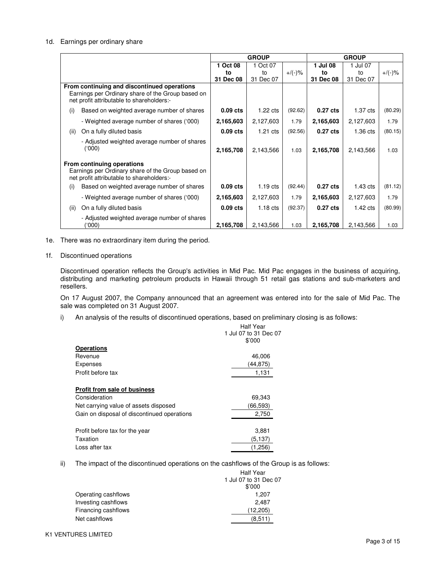#### 1d. Earnings per ordinary share

|      |                                                                                                                                               |            | <b>GROUP</b>       |           | <b>GROUP</b>        |                    |           |
|------|-----------------------------------------------------------------------------------------------------------------------------------------------|------------|--------------------|-----------|---------------------|--------------------|-----------|
|      |                                                                                                                                               | 1 Oct 08   | 1 Oct 07           |           | 1 Jul 08            | 1 Jul 07           |           |
|      |                                                                                                                                               | to         | to                 | $+/(-)$ % | to                  | to                 | $+/(-)$ % |
|      |                                                                                                                                               | 31 Dec 08  | 31 Dec 07          |           | 31 Dec 08           | 31 Dec 07          |           |
|      | From continuing and discontinued operations<br>Earnings per Ordinary share of the Group based on<br>net profit attributable to shareholders:- |            |                    |           |                     |                    |           |
| (i)  | Based on weighted average number of shares                                                                                                    | $0.09$ cts | $1.22 \text{ cts}$ | (92.62)   | 0.27 <sub>cts</sub> | 1.37 cts           | (80.29)   |
|      | - Weighted average number of shares ('000)                                                                                                    | 2,165,603  | 2,127,603          | 1.79      | 2,165,603           | 2,127,603          | 1.79      |
| (ii) | On a fully diluted basis                                                                                                                      | $0.09$ cts | $1.21 \text{ cts}$ | (92.56)   | 0.27 <sub>cts</sub> | $1.36$ cts         | (80.15)   |
|      | - Adjusted weighted average number of shares<br>(000)                                                                                         | 2,165,708  | 2,143,566          | 1.03      | 2,165,708           | 2,143,566          | 1.03      |
|      | From continuing operations<br>Earnings per Ordinary share of the Group based on<br>net profit attributable to shareholders:-                  |            |                    |           |                     |                    |           |
| (i)  | Based on weighted average number of shares                                                                                                    | $0.09$ cts | $1.19$ cts         | (92.44)   | $0.27$ cts          | $1.43 \text{ cts}$ | (81.12)   |
|      | - Weighted average number of shares ('000)                                                                                                    | 2,165,603  | 2,127,603          | 1.79      | 2,165,603           | 2,127,603          | 1.79      |
| (ii) | On a fully diluted basis                                                                                                                      | $0.09$ cts | $1.18$ cts         | (92.37)   | 0.27 <sub>cts</sub> | $1.42 \text{ cts}$ | (80.99)   |
|      | - Adjusted weighted average number of shares<br>(000)                                                                                         | 2,165,708  | 2,143,566          | 1.03      | 2,165,708           | 2,143,566          | 1.03      |

1e. There was no extraordinary item during the period.

#### 1f. Discontinued operations

 Discontinued operation reflects the Group's activities in Mid Pac. Mid Pac engages in the business of acquiring, distributing and marketing petroleum products in Hawaii through 51 retail gas stations and sub-marketers and resellers.

 On 17 August 2007, the Company announced that an agreement was entered into for the sale of Mid Pac. The sale was completed on 31 August 2007.

i) An analysis of the results of discontinued operations, based on preliminary closing is as follows:

|                                             | Half Year             |
|---------------------------------------------|-----------------------|
|                                             | 1 Jul 07 to 31 Dec 07 |
|                                             | \$'000                |
| <b>Operations</b>                           |                       |
| Revenue                                     | 46,006                |
| Expenses                                    | (44,875)              |
| Profit before tax                           | 1,131                 |
| Profit from sale of business                |                       |
| Consideration                               | 69,343                |
| Net carrying value of assets disposed       | (66.593)              |
| Gain on disposal of discontinued operations | 2,750                 |
| Profit before tax for the year              | 3,881                 |
| Taxation                                    | (5.137)               |
| Loss after tax                              | (1,256)               |

ii) The impact of the discontinued operations on the cashflows of the Group is as follows:

|                     | <b>Half Year</b>      |
|---------------------|-----------------------|
|                     | 1 Jul 07 to 31 Dec 07 |
|                     | \$'000                |
| Operating cashflows | 1.207                 |
| Investing cashflows | 2,487                 |
| Financing cashflows | (12,205)              |
| Net cashflows       | (8.511)               |
|                     |                       |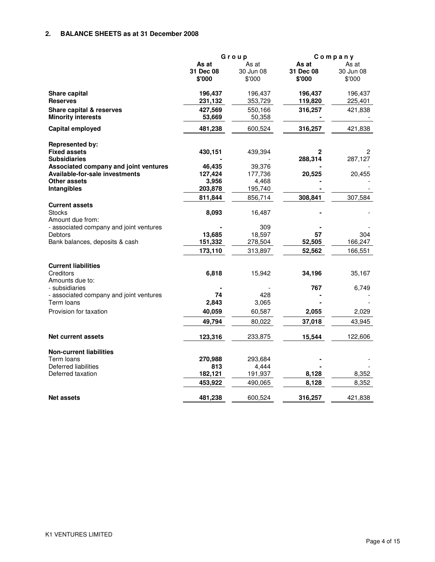# **2. BALANCE SHEETS as at 31 December 2008**

|                                                            | Group     |           |              | Company   |
|------------------------------------------------------------|-----------|-----------|--------------|-----------|
|                                                            | As at     | As at     | As at        | As at     |
|                                                            | 31 Dec 08 | 30 Jun 08 | 31 Dec 08    | 30 Jun 08 |
|                                                            | \$'000    | \$'000    | \$'000       | \$'000    |
| Share capital                                              | 196,437   | 196,437   | 196,437      | 196,437   |
| <b>Reserves</b>                                            | 231,132   | 353,729   | 119,820      | 225,401   |
| Share capital & reserves                                   | 427,569   | 550,166   | 316,257      | 421,838   |
| <b>Minority interests</b>                                  | 53,669    | 50,358    |              |           |
| Capital employed                                           | 481,238   | 600,524   | 316,257      | 421,838   |
| <b>Represented by:</b>                                     |           |           |              |           |
| <b>Fixed assets</b>                                        | 430,151   | 439,394   | $\mathbf{2}$ | 2         |
| <b>Subsidiaries</b>                                        |           |           | 288,314      | 287,127   |
| Associated company and joint ventures                      | 46,435    | 39,376    |              |           |
| <b>Available-for-sale investments</b>                      | 127,424   | 177,736   | 20,525       | 20,455    |
| Other assets                                               | 3,956     | 4,468     |              |           |
| Intangibles                                                | 203,878   | 195,740   |              |           |
|                                                            | 811,844   | 856,714   | 308,841      | 307,584   |
| <b>Current assets</b><br><b>Stocks</b><br>Amount due from: | 8,093     | 16,487    |              |           |
| - associated company and joint ventures                    |           | 309       |              |           |
| Debtors                                                    | 13,685    | 18,597    | 57           | 304       |
| Bank balances, deposits & cash                             | 151,332   | 278,504   | 52,505       | 166,247   |
|                                                            | 173,110   | 313,897   | 52,562       | 166,551   |
| <b>Current liabilities</b>                                 |           |           |              |           |
| Creditors                                                  | 6,818     | 15,942    | 34,196       | 35,167    |
| Amounts due to:<br>- subsidiaries                          |           |           | 767          |           |
| - associated company and joint ventures                    | 74        | 428       |              | 6,749     |
| Term loans                                                 | 2,843     | 3,065     |              |           |
| Provision for taxation                                     | 40,059    | 60,587    | 2,055        | 2,029     |
|                                                            | 49,794    | 80,022    | 37,018       | 43,945    |
| <b>Net current assets</b>                                  | 123,316   | 233,875   | 15,544       | 122,606   |
|                                                            |           |           |              |           |
| <b>Non-current liabilities</b>                             |           |           |              |           |
| Term loans                                                 | 270,988   | 293,684   |              |           |
| Deferred liabilities                                       | 813       | 4,444     |              |           |
| Deferred taxation                                          | 182,121   | 191,937   | 8,128        | 8,352     |
|                                                            | 453,922   | 490,065   | 8,128        | 8,352     |
| <b>Net assets</b>                                          | 481,238   | 600,524   | 316,257      | 421,838   |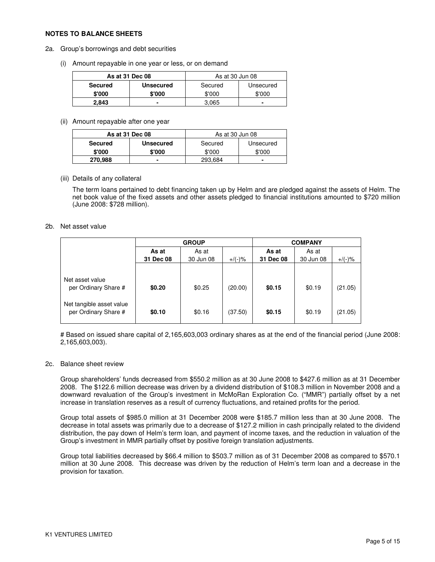#### **NOTES TO BALANCE SHEETS**

- 2a. Group's borrowings and debt securities
	- (i) Amount repayable in one year or less, or on demand

|         | As at 31 Dec 08  |         | As at 30 Jun 08 |
|---------|------------------|---------|-----------------|
| Secured | <b>Unsecured</b> | Secured | Unsecured       |
| \$'000  | \$'000           | \$'000  | \$'000          |
| 2.843   |                  | 3.065   | -               |

(ii) Amount repayable after one year

| As at 31 Dec 08 |                  | As at 30 Jun 08      |        |  |
|-----------------|------------------|----------------------|--------|--|
| <b>Secured</b>  | <b>Unsecured</b> | Unsecured<br>Secured |        |  |
| \$'000          | \$'000           | \$'000               | \$'000 |  |
| 270,988         |                  | 293,684              |        |  |

(iii) Details of any collateral

The term loans pertained to debt financing taken up by Helm and are pledged against the assets of Helm. The net book value of the fixed assets and other assets pledged to financial institutions amounted to \$720 million (June 2008: \$728 million).

#### 2b. Net asset value

|                                                  | <b>GROUP</b> |           |           | <b>COMPANY</b> |           |           |  |
|--------------------------------------------------|--------------|-----------|-----------|----------------|-----------|-----------|--|
|                                                  | As at        | As at     |           | As at          | As at     |           |  |
|                                                  | 31 Dec 08    | 30 Jun 08 | $+/(-)$ % | 31 Dec 08      | 30 Jun 08 | $+$ /(-)% |  |
| Net asset value                                  |              |           |           |                |           |           |  |
| per Ordinary Share #                             | \$0.20       | \$0.25    | (20.00)   | \$0.15         | \$0.19    | (21.05)   |  |
| Net tangible asset value<br>per Ordinary Share # | \$0.10       | \$0.16    | (37.50)   | \$0.15         | \$0.19    | (21.05)   |  |

# Based on issued share capital of 2,165,603,003 ordinary shares as at the end of the financial period (June 2008: 2,165,603,003).

#### 2c. Balance sheet review

Group shareholders' funds decreased from \$550.2 million as at 30 June 2008 to \$427.6 million as at 31 December 2008. The \$122.6 million decrease was driven by a dividend distribution of \$108.3 million in November 2008 and a downward revaluation of the Group's investment in McMoRan Exploration Co. ("MMR") partially offset by a net increase in translation reserves as a result of currency fluctuations, and retained profits for the period.

Group total assets of \$985.0 million at 31 December 2008 were \$185.7 million less than at 30 June 2008. The decrease in total assets was primarily due to a decrease of \$127.2 million in cash principally related to the dividend distribution, the pay down of Helm's term loan, and payment of income taxes, and the reduction in valuation of the Group's investment in MMR partially offset by positive foreign translation adjustments.

Group total liabilities decreased by \$66.4 million to \$503.7 million as of 31 December 2008 as compared to \$570.1 million at 30 June 2008. This decrease was driven by the reduction of Helm's term loan and a decrease in the provision for taxation.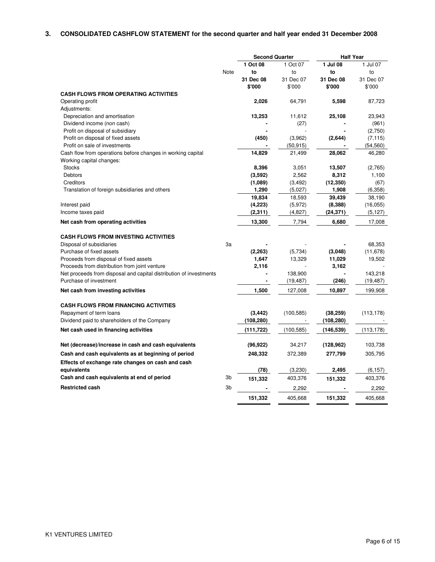# **3. CONSOLIDATED CASHFLOW STATEMENT for the second quarter and half year ended 31 December 2008**

|                                                                    |                | <b>Second Quarter</b> |            | <b>Half Year</b> |            |
|--------------------------------------------------------------------|----------------|-----------------------|------------|------------------|------------|
|                                                                    |                | 1 Oct 08              | 1 Oct 07   | 1 Jul 08         | 1 Jul 07   |
|                                                                    | Note           | to                    | to         | to               | to         |
|                                                                    |                | 31 Dec 08             | 31 Dec 07  | 31 Dec 08        | 31 Dec 07  |
|                                                                    |                | \$'000                | \$'000     | \$'000           | \$'000     |
| <b>CASH FLOWS FROM OPERATING ACTIVITIES</b>                        |                |                       |            |                  |            |
| Operating profit                                                   |                | 2,026                 | 64,791     | 5,598            | 87,723     |
| Adjustments:                                                       |                |                       |            |                  |            |
| Depreciation and amortisation                                      |                | 13,253                | 11,612     | 25,108           | 23,943     |
| Dividend income (non cash)                                         |                |                       | (27)       |                  | (961)      |
| Profit on disposal of subsidiary                                   |                |                       |            |                  | (2,750)    |
| Profit on disposal of fixed assets                                 |                | (450)                 | (3,962)    | (2,644)          | (7, 115)   |
| Profit on sale of investments                                      |                |                       | (50, 915)  |                  | (54, 560)  |
| Cash flow from operations before changes in working capital        |                | 14,829                | 21,499     | 28,062           | 46,280     |
| Working capital changes:                                           |                |                       |            |                  |            |
| <b>Stocks</b>                                                      |                | 8,396                 | 3,051      | 13,507           | (2,765)    |
| <b>Debtors</b>                                                     |                | (3,592)               | 2,562      | 8,312            | 1,100      |
| Creditors                                                          |                | (1,089)               | (3, 492)   | (12, 350)        | (67)       |
| Translation of foreign subsidiaries and others                     |                | 1,290                 | (5,027)    | 1,908            | (6,358)    |
|                                                                    |                | 19,834                | 18,593     | 39,439           | 38,190     |
| Interest paid                                                      |                | (4,223)               | (5,972)    | (8, 388)         | (16, 055)  |
| Income taxes paid                                                  |                | (2,311)               | (4,827)    | (24, 371)        | (5, 127)   |
| Net cash from operating activities                                 |                | 13,300                | 7,794      | 6,680            | 17,008     |
| <b>CASH FLOWS FROM INVESTING ACTIVITIES</b>                        |                |                       |            |                  |            |
| Disposal of subsidiaries                                           | 3a             |                       |            |                  | 68,353     |
| Purchase of fixed assets                                           |                | (2, 263)              | (5,734)    | (3,048)          | (11, 678)  |
| Proceeds from disposal of fixed assets                             |                | 1,647                 | 13,329     | 11,029           | 19,502     |
| Proceeds from distribution from joint venture                      |                | 2,116                 |            | 3,162            |            |
| Net proceeds from disposal and capital distribution of investments |                |                       | 138,900    |                  | 143,218    |
| Purchase of investment                                             |                | $\blacksquare$        | (19, 487)  | (246)            | (19, 487)  |
|                                                                    |                |                       |            |                  |            |
| Net cash from investing activities                                 |                | 1,500                 | 127,008    | 10,897           | 199,908    |
| <b>CASH FLOWS FROM FINANCING ACTIVITIES</b>                        |                |                       |            |                  |            |
| Repayment of term loans                                            |                | (3, 442)              | (100, 585) | (38, 259)        | (113, 178) |
| Dividend paid to shareholders of the Company                       |                | (108, 280)            |            | (108, 280)       |            |
| Net cash used in financing activities                              |                | (111, 722)            | (100, 585) | (146, 539)       | (113, 178) |
|                                                                    |                |                       |            |                  |            |
| Net (decrease)/increase in cash and cash equivalents               |                | (96, 922)             | 34,217     | (128, 962)       | 103,738    |
| Cash and cash equivalents as at beginning of period                |                | 248,332               | 372,389    | 277,799          | 305,795    |
| Effects of exchange rate changes on cash and cash                  |                |                       |            |                  |            |
| equivalents                                                        |                | (78)                  | (3,230)    | 2,495            | (6, 157)   |
| Cash and cash equivalents at end of period                         | 3b             | 151,332               | 403,376    | 151,332          | 403,376    |
| <b>Restricted cash</b>                                             | 3 <sub>b</sub> |                       | 2,292      |                  | 2,292      |
|                                                                    |                | 151,332               | 405,668    | 151,332          | 405,668    |

. —

. .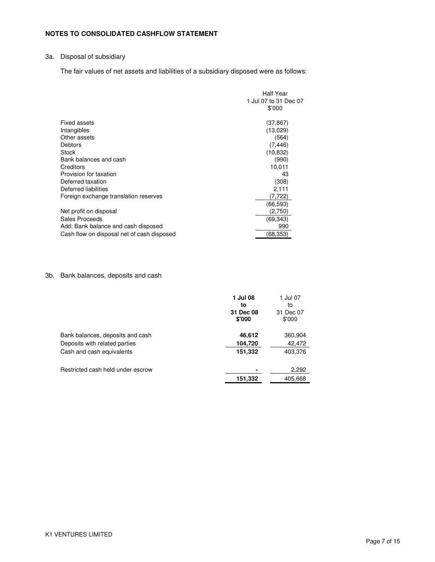# **NOTES TO CONSOLIDATED CASHFLOW STATEMENT**

# 3a. Disposal of subsidiary

The fair values of net assets and liabilities of a subsidiary disposed were as follows:

|                                            | <b>Half Year</b>      |
|--------------------------------------------|-----------------------|
|                                            | 1 Jul 07 to 31 Dec 07 |
|                                            | \$'000                |
| Fixed assets                               | (37,867)              |
| Intangibles                                | (13,029)              |
| Other assets                               | (564)                 |
| Debtors                                    | (7, 446)              |
| <b>Stock</b>                               | (10, 832)             |
| Bank balances and cash                     | (990)                 |
| Creditors                                  | 10,011                |
| Provision for taxation                     | 43                    |
| Deferred taxation                          | (308)                 |
| Deferred liabilities                       | 2,111                 |
| Foreign exchange translation reserves      | (7,722)               |
|                                            | (66,593)              |
| Net profit on disposal                     | (2.750)               |
| Sales Proceeds                             | (69, 343)             |
| Add: Bank balance and cash disposed        | 990                   |
| Cash flow on disposal net of cash disposed | (68, 353)             |

# 3b. Bank balances, deposits and cash

|                                   | 1 Jul 08<br>to      | 1 Jul 07<br>to      |
|-----------------------------------|---------------------|---------------------|
|                                   | 31 Dec 08<br>\$'000 | 31 Dec 07<br>\$'000 |
| Bank balances, deposits and cash  | 46,612              | 360,904             |
| Deposits with related parties     | 104,720             | 42,472              |
| Cash and cash equivalents         | 151,332             | 403,376             |
| Restricted cash held under escrow |                     | 2,292               |
|                                   | 151,332             | 405,668             |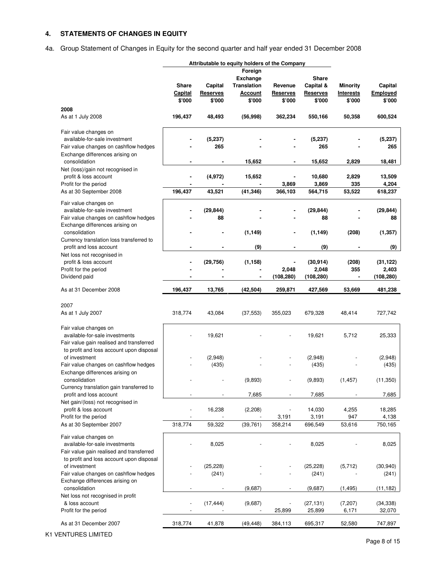# **4. STATEMENTS OF CHANGES IN EQUITY**

4a. Group Statement of Changes in Equity for the second quarter and half year ended 31 December 2008

|                                                  | Attributable to equity holders of the Company |                 |                    |                 |                 |                 |            |
|--------------------------------------------------|-----------------------------------------------|-----------------|--------------------|-----------------|-----------------|-----------------|------------|
|                                                  |                                               |                 | Foreign            |                 |                 |                 |            |
|                                                  |                                               |                 | <b>Exchange</b>    |                 | <b>Share</b>    |                 |            |
|                                                  | <b>Share</b>                                  | Capital         | <b>Translation</b> | Revenue         | Capital &       | <b>Minority</b> | Capital    |
|                                                  | Capital                                       | <b>Reserves</b> | <b>Account</b>     | <b>Reserves</b> | <b>Reserves</b> | Interests       | Employed   |
|                                                  | \$'000                                        | \$'000          | \$'000             | \$'000          | \$'000          | \$'000          | \$'000     |
| 2008                                             |                                               |                 |                    |                 |                 |                 |            |
| As at 1 July 2008                                | 196,437                                       | 48,493          | (56, 998)          | 362,234         | 550,166         | 50,358          | 600,524    |
|                                                  |                                               |                 |                    |                 |                 |                 |            |
| Fair value changes on                            |                                               |                 |                    |                 |                 |                 |            |
| available-for-sale investment                    |                                               | (5, 237)        |                    |                 | (5, 237)        |                 | (5,237)    |
|                                                  |                                               | 265             |                    |                 | 265             |                 | 265        |
| Fair value changes on cashflow hedges            |                                               |                 |                    |                 |                 |                 |            |
| Exchange differences arising on<br>consolidation |                                               |                 |                    |                 |                 | 2,829           |            |
|                                                  |                                               |                 | 15,652             |                 | 15,652          |                 | 18,481     |
| Net (loss)/gain not recognised in                | ä,                                            |                 |                    |                 |                 |                 |            |
| profit & loss account                            |                                               | (4, 972)        | 15,652             | 3,869           | 10,680          | 2,829           | 13,509     |
| Profit for the period                            |                                               |                 |                    |                 | 3,869           | 335             | 4,204      |
| As at 30 September 2008                          | 196,437                                       | 43,521          | (41, 346)          | 366,103         | 564,715         | 53,522          | 618,237    |
| Fair value changes on                            |                                               |                 |                    |                 |                 |                 |            |
| available-for-sale investment                    |                                               | (29, 844)       |                    |                 | (29, 844)       |                 | (29, 844)  |
| Fair value changes on cashflow hedges            |                                               | 88              |                    |                 | 88              |                 | 88         |
| Exchange differences arising on                  |                                               |                 |                    |                 |                 |                 |            |
| consolidation                                    |                                               |                 | (1, 149)           |                 | (1, 149)        | (208)           | (1, 357)   |
| Currency translation loss transferred to         |                                               |                 |                    |                 |                 |                 |            |
| profit and loss account                          |                                               |                 | (9)                |                 | (9)             |                 | (9)        |
| Net loss not recognised in                       |                                               |                 |                    |                 |                 |                 |            |
| profit & loss account                            |                                               | (29, 756)       | (1, 158)           |                 | (30, 914)       | (208)           | (31, 122)  |
| Profit for the period                            |                                               |                 |                    | 2,048           | 2,048           | 355             | 2,403      |
| Dividend paid                                    |                                               |                 |                    | (108, 280)      | (108, 280)      |                 | (108, 280) |
| As at 31 December 2008                           | 196,437                                       | 13,765          | (42, 504)          | 259,871         | 427,569         | 53,669          | 481,238    |
|                                                  |                                               |                 |                    |                 |                 |                 |            |
| 2007                                             |                                               |                 |                    |                 |                 |                 |            |
| As at 1 July 2007                                | 318,774                                       | 43,084          | (37, 553)          | 355,023         | 679,328         | 48,414          | 727,742    |
|                                                  |                                               |                 |                    |                 |                 |                 |            |
| Fair value changes on                            |                                               |                 |                    |                 |                 |                 |            |
| available-for-sale investments                   |                                               | 19,621          |                    |                 | 19,621          | 5,712           | 25,333     |
| Fair value gain realised and transferred         |                                               |                 |                    |                 |                 |                 |            |
| to profit and loss account upon disposal         |                                               |                 |                    |                 |                 |                 |            |
| of investment                                    |                                               | (2,948)         |                    |                 | (2,948)         |                 | (2,948)    |
| Fair value changes on cashflow hedges            |                                               | (435)           |                    |                 | (435)           |                 | (435)      |
| Exchange differences arising on                  |                                               |                 |                    |                 |                 |                 |            |
| consolidation                                    |                                               |                 |                    |                 |                 |                 |            |
| Currency translation gain transferred to         |                                               |                 | (9,893)            |                 | (9,893)         | (1, 457)        | (11, 350)  |
| profit and loss account                          |                                               |                 | 7,685              |                 | 7,685           |                 | 7,685      |
| Net gain/(loss) not recognised in                |                                               |                 |                    |                 |                 |                 |            |
| profit & loss account                            |                                               | 16,238          | (2, 208)           |                 | 14,030          | 4,255           | 18,285     |
| Profit for the period                            |                                               |                 |                    | 3,191           | 3,191           | 947             | 4,138      |
| As at 30 September 2007                          | 318,774                                       | 59,322          | (39, 761)          | 358,214         | 696,549         | 53,616          | 750,165    |
|                                                  |                                               |                 |                    |                 |                 |                 |            |
| Fair value changes on                            |                                               |                 |                    |                 |                 |                 |            |
| available-for-sale investments                   |                                               | 8,025           |                    |                 | 8,025           |                 | 8,025      |
| Fair value gain realised and transferred         |                                               |                 |                    |                 |                 |                 |            |
| to profit and loss account upon disposal         |                                               |                 |                    |                 |                 |                 |            |
| of investment                                    |                                               | (25, 228)       |                    |                 | (25, 228)       | (5, 712)        | (30, 940)  |
| Fair value changes on cashflow hedges            |                                               | (241)           |                    |                 | (241)           |                 | (241)      |
| Exchange differences arising on                  |                                               |                 |                    |                 |                 |                 |            |
| consolidation                                    |                                               |                 | (9,687)            |                 | (9,687)         | (1, 495)        | (11, 182)  |
| Net loss not recognised in profit                |                                               |                 |                    |                 |                 |                 |            |
| & loss account                                   |                                               | (17, 444)       | (9,687)            |                 | (27,131)        | (7, 207)        | (34, 338)  |
| Profit for the period                            |                                               |                 |                    | 25,899          | 25,899          | 6,171           | 32,070     |
| As at 31 December 2007                           | 318,774                                       | 41,878          | (49, 448)          | 384,113         | 695,317         | 52,580          | 747,897    |
|                                                  |                                               |                 |                    |                 |                 |                 |            |

K1 VENTURES LIMITED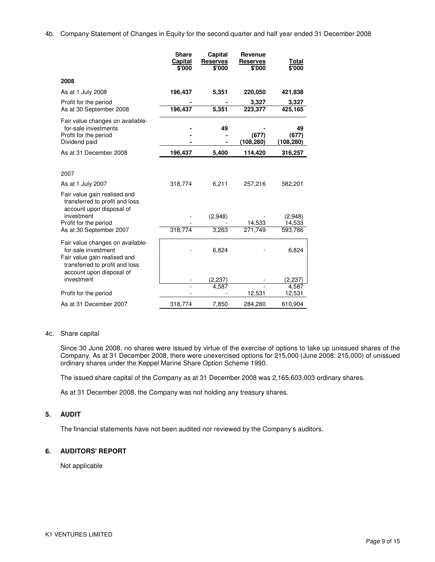4b. Company Statement of Changes in Equity for the second quarter and half year ended 31 December 2008

|                                                                                                                                                       | <b>Share</b><br>Capital<br>\$'000 | Capital<br><b>Reserves</b><br>\$'000 | Revenue<br><b>Reserves</b><br>\$'000 | <u>Total</u><br>\$'000   |
|-------------------------------------------------------------------------------------------------------------------------------------------------------|-----------------------------------|--------------------------------------|--------------------------------------|--------------------------|
| 2008                                                                                                                                                  |                                   |                                      |                                      |                          |
| As at 1 July 2008                                                                                                                                     | 196,437                           | 5,351                                | 220,050                              | 421,838                  |
| Profit for the period<br>As at 30 September 2008                                                                                                      | 196,437                           | 5,351                                | 3,327<br>223,377                     | 3,327<br>425,165         |
| Fair value changes on available-<br>for-sale investments<br>Profit for the period<br>Dividend paid                                                    |                                   | 49                                   | (677)<br>(108,280)                   | 49<br>(677)<br>(108,280) |
| As at 31 December 2008                                                                                                                                | 196,437                           | 5,400                                | 114,420                              | 316,257                  |
| 2007<br>As at 1 July 2007<br>Fair value gain realised and<br>transferred to profit and loss<br>account upon disposal of<br>investment                 | 318,774                           | 6,211<br>(2,948)                     | 257,216                              | 582,201<br>(2,948)       |
| Profit for the period<br>As at 30 September 2007                                                                                                      | 318,774                           | 3,263                                | 14,533<br>271,749                    | 14,533<br>593,786        |
| Fair value changes on available-<br>for-sale investment<br>Fair value gain realised and<br>transferred to profit and loss<br>account upon disposal of |                                   | 6,824                                |                                      | 6,824                    |
| investment                                                                                                                                            |                                   | (2, 237)<br>4.587                    |                                      | (2, 237)                 |
| Profit for the period                                                                                                                                 |                                   |                                      | 12,531                               | 4,587<br>12,531          |
| As at 31 December 2007                                                                                                                                | 318,774                           | 7.850                                | 284.280                              | 610,904                  |

#### 4c. Share capital

Since 30 June 2008, no shares were issued by virtue of the exercise of options to take up unissued shares of the Company. As at 31 December 2008, there were unexercised options for 215,000 (June 2008: 215,000) of unissued ordinary shares under the Keppel Marine Share Option Scheme 1990.

The issued share capital of the Company as at 31 December 2008 was 2,165,603,003 ordinary shares.

As at 31 December 2008, the Company was not holding any treasury shares.

#### **5. AUDIT**

The financial statements have not been audited nor reviewed by the Company's auditors.

#### **6. AUDITORS' REPORT**

Not applicable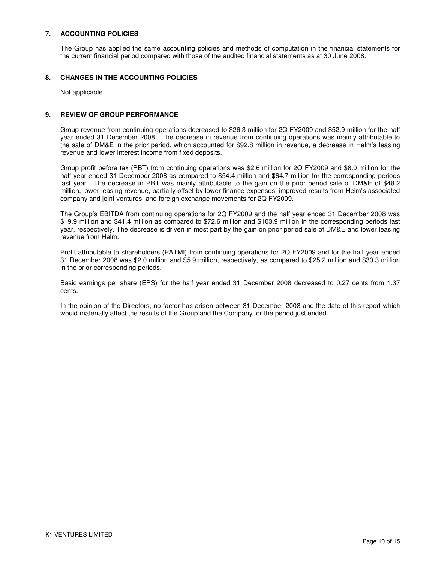# **7. ACCOUNTING POLICIES**

The Group has applied the same accounting policies and methods of computation in the financial statements for the current financial period compared with those of the audited financial statements as at 30 June 2008.

## **8. CHANGES IN THE ACCOUNTING POLICIES**

Not applicable.

## **9. REVIEW OF GROUP PERFORMANCE**

Group revenue from continuing operations decreased to \$26.3 million for 2Q FY2009 and \$52.9 million for the half year ended 31 December 2008. The decrease in revenue from continuing operations was mainly attributable to the sale of DM&E in the prior period, which accounted for \$92.8 million in revenue, a decrease in Helm's leasing revenue and lower interest income from fixed deposits.

Group profit before tax (PBT) from continuing operations was \$2.6 million for 2Q FY2009 and \$8.0 million for the half year ended 31 December 2008 as compared to \$54.4 million and \$64.7 million for the corresponding periods last year. The decrease in PBT was mainly attributable to the gain on the prior period sale of DM&E of \$48.2 million, lower leasing revenue, partially offset by lower finance expenses, improved results from Helm's associated company and joint ventures, and foreign exchange movements for 2Q FY2009.

The Group's EBITDA from continuing operations for 2Q FY2009 and the half year ended 31 December 2008 was \$19.9 million and \$41.4 million as compared to \$72.6 million and \$103.9 million in the corresponding periods last year, respectively. The decrease is driven in most part by the gain on prior period sale of DM&E and lower leasing revenue from Helm.

Profit attributable to shareholders (PATMI) from continuing operations for 2Q FY2009 and for the half year ended 31 December 2008 was \$2.0 million and \$5.9 million, respectively, as compared to \$25.2 million and \$30.3 million in the prior corresponding periods.

Basic earnings per share (EPS) for the half year ended 31 December 2008 decreased to 0.27 cents from 1.37 cents.

In the opinion of the Directors, no factor has arisen between 31 December 2008 and the date of this report which would materially affect the results of the Group and the Company for the period just ended.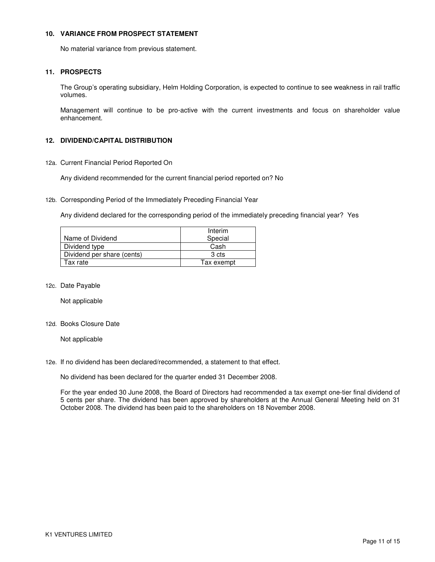#### **10. VARIANCE FROM PROSPECT STATEMENT**

No material variance from previous statement.

# **11. PROSPECTS**

The Group's operating subsidiary, Helm Holding Corporation, is expected to continue to see weakness in rail traffic volumes.

Management will continue to be pro-active with the current investments and focus on shareholder value enhancement.

# **12. DIVIDEND/CAPITAL DISTRIBUTION**

12a. Current Financial Period Reported On

Any dividend recommended for the current financial period reported on? No

12b. Corresponding Period of the Immediately Preceding Financial Year

Any dividend declared for the corresponding period of the immediately preceding financial year? Yes

|                            | Interim    |
|----------------------------|------------|
| Name of Dividend           | Special    |
| Dividend type              | Cash       |
| Dividend per share (cents) | 3 cts      |
| Tax rate                   | Tax exempt |

12c. Date Payable

Not applicable

12d. Books Closure Date

Not applicable

12e. If no dividend has been declared/recommended, a statement to that effect.

No dividend has been declared for the quarter ended 31 December 2008.

For the year ended 30 June 2008, the Board of Directors had recommended a tax exempt one-tier final dividend of 5 cents per share. The dividend has been approved by shareholders at the Annual General Meeting held on 31 October 2008. The dividend has been paid to the shareholders on 18 November 2008.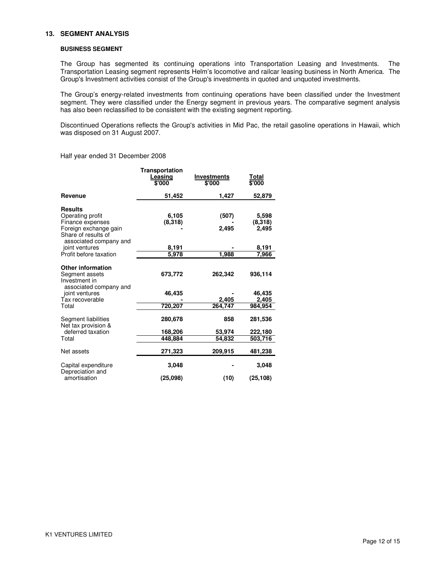#### **13. SEGMENT ANALYSIS**

#### **BUSINESS SEGMENT**

The Group has segmented its continuing operations into Transportation Leasing and Investments. The Transportation Leasing segment represents Helm's locomotive and railcar leasing business in North America. The Group's Investment activities consist of the Group's investments in quoted and unquoted investments.

The Group's energy-related investments from continuing operations have been classified under the Investment segment. They were classified under the Energy segment in previous years. The comparative segment analysis has also been reclassified to be consistent with the existing segment reporting.

Discontinued Operations reflects the Group's activities in Mid Pac, the retail gasoline operations in Hawaii, which was disposed on 31 August 2007.

Half year ended 31 December 2008

|                                                                                                                                  | Transportation<br>Leasing<br>\$'000 | <b>Investments</b><br>\$'000 | Total<br>\$'000           |
|----------------------------------------------------------------------------------------------------------------------------------|-------------------------------------|------------------------------|---------------------------|
| Revenue                                                                                                                          | 51,452                              | 1,427                        | 52,879                    |
| <b>Results</b><br>Operating profit<br>Finance expenses<br>Foreign exchange gain<br>Share of results of<br>associated company and | 6,105<br>(8,318)                    | (507)<br>2.495               | 5,598<br>(8,318)<br>2,495 |
| joint ventures                                                                                                                   | 8,191                               |                              | 8,191                     |
| Profit before taxation                                                                                                           | 5,978                               | 1,988                        | 7,966                     |
| <b>Other information</b><br>Segment assets<br>Investment in<br>associated company and                                            | 673,772                             | 262,342                      | 936,114                   |
| joint ventures                                                                                                                   | 46,435                              |                              | 46.435                    |
| Tax recoverable<br>Total                                                                                                         | 720,207                             | 2,405<br>264,747             | 2,405<br>984,954          |
| Segment liabilities<br>Net tax provision &                                                                                       | 280,678                             | 858                          | 281,536                   |
| deferred taxation                                                                                                                | 168,206                             | 53,974                       | 222,180                   |
| Total                                                                                                                            | 448,884                             | 54,832                       | 503,716                   |
| Net assets                                                                                                                       | 271,323                             | 209,915                      | 481,238                   |
| Capital expenditure<br>Depreciation and                                                                                          | 3,048                               |                              | 3,048                     |
| amortisation                                                                                                                     | (25,098)                            | (10)                         | (25, 108)                 |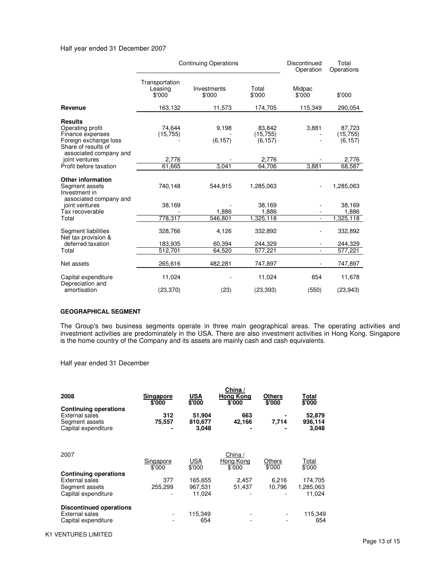#### Half year ended 31 December 2007

|                                                                                                                                  | <b>Continuing Operations</b>        |                       |                                 | Discontinued<br>Operation | Total<br>Operations             |  |
|----------------------------------------------------------------------------------------------------------------------------------|-------------------------------------|-----------------------|---------------------------------|---------------------------|---------------------------------|--|
|                                                                                                                                  | Transportation<br>Leasing<br>\$'000 | Investments<br>\$'000 | Total<br>\$'000                 | Midpac<br>\$'000          | \$'000                          |  |
| Revenue                                                                                                                          | 163,132                             | 11,573                | 174,705                         | 115,349                   | 290,054                         |  |
| <b>Results</b><br>Operating profit<br>Finance expenses<br>Foreign exchange loss<br>Share of results of<br>associated company and | 74.644<br>(15, 755)                 | 9,198<br>(6, 157)     | 83,842<br>(15, 755)<br>(6, 157) | 3,881                     | 87,723<br>(15, 755)<br>(6, 157) |  |
| joint ventures                                                                                                                   | 2.776                               |                       | 2,776                           |                           | 2,776                           |  |
| Profit before taxation                                                                                                           | 61.665                              | 3.041                 | 64,706                          | 3,881                     | 68,587                          |  |
| <b>Other information</b><br>Segment assets<br>Investment in<br>associated company and                                            | 740,148                             | 544,915               | 1,285,063                       |                           | 1,285,063                       |  |
| joint ventures<br>Tax recoverable                                                                                                | 38,169                              | 1,886                 | 38.169<br>1,886                 |                           | 38.169<br>1,886                 |  |
| Total                                                                                                                            | 778,317                             | 546,801               | 1,325,118                       | $\blacksquare$            | 1,325,118                       |  |
| Segment liabilities<br>Net tax provision &                                                                                       | 328,766                             | 4,126                 | 332,892                         |                           | 332,892                         |  |
| deferred taxation                                                                                                                | 183,935                             | 60,394                | 244,329                         |                           | 244,329                         |  |
| Total                                                                                                                            | 512,701                             | 64,520                | 577.221                         |                           | 577,221                         |  |
| Net assets                                                                                                                       | 265,616                             | 482,281               | 747.897                         |                           | 747,897                         |  |
| Capital expenditure<br>Depreciation and                                                                                          | 11,024                              |                       | 11,024                          | 654                       | 11,678                          |  |
| amortisation                                                                                                                     | (23, 370)                           | (23)                  | (23, 393)                       | (550)                     | (23, 943)                       |  |

#### **GEOGRAPHICAL SEGMENT**

The Group's two business segments operate in three main geographical areas. The operating activities and investment activities are predominately in the USA. There are also investment activities in Hong Kong. Singapore is the home country of the Company and its assets are mainly cash and cash equivalents.

Half year ended 31 December

| 2008                                                                                           | Singapore<br>\$'000 | <b>USA</b><br>\$'000       | China $/$<br><b>Hong Kong</b><br>\$'000 | <b>Others</b><br>\$'000 | Total<br>\$'000            |
|------------------------------------------------------------------------------------------------|---------------------|----------------------------|-----------------------------------------|-------------------------|----------------------------|
| <b>Continuing operations</b><br><b>External sales</b><br>Segment assets<br>Capital expenditure | 312<br>75,557       | 51,904<br>810,677<br>3,048 | 663<br>42,166                           | 7,714                   | 52,879<br>936,114<br>3,048 |
| 2007                                                                                           | Singapore           | <b>USA</b>                 | China /<br>Hong Kong                    | <b>Others</b>           | Total                      |
|                                                                                                | \$'000              | \$'000                     | \$'000                                  | \$'000                  | \$'000                     |
| <b>Continuing operations</b>                                                                   |                     |                            |                                         |                         |                            |
| <b>External sales</b>                                                                          | 377                 | 165,655                    | 2,457                                   | 6,216                   | 174,705                    |
| Segment assets                                                                                 | 255,299             | 967,531                    | 51.437                                  | 10.796                  | 1,285,063                  |
| Capital expenditure                                                                            |                     | 11,024                     |                                         |                         | 11,024                     |
| <b>Discontinued operations</b>                                                                 |                     |                            |                                         |                         |                            |
| <b>External sales</b>                                                                          |                     | 115,349                    |                                         |                         | 115,349                    |
| Capital expenditure                                                                            |                     | 654                        |                                         |                         | 654                        |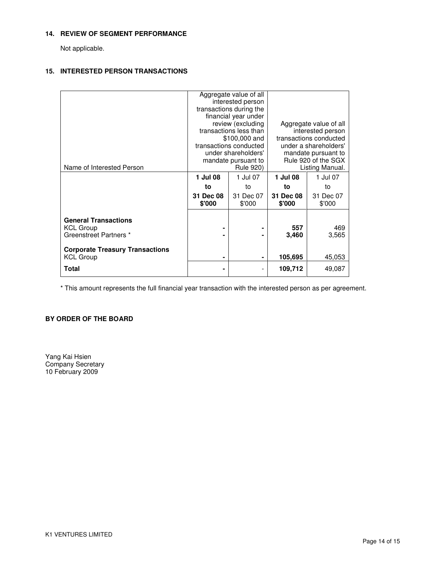#### **14. REVIEW OF SEGMENT PERFORMANCE**

Not applicable.

# **15. INTERESTED PERSON TRANSACTIONS**

|                                                                           |                     | Aggregate value of all<br>interested person<br>transactions during the<br>financial year under<br>review (excluding<br>transactions less than<br>\$100,000 and | Aggregate value of all<br>interested person<br>transactions conducted                  |                     |  |
|---------------------------------------------------------------------------|---------------------|----------------------------------------------------------------------------------------------------------------------------------------------------------------|----------------------------------------------------------------------------------------|---------------------|--|
| Name of Interested Person                                                 |                     | transactions conducted<br>under shareholders'<br>mandate pursuant to<br><b>Rule 920)</b>                                                                       | under a shareholders'<br>mandate pursuant to<br>Rule 920 of the SGX<br>Listing Manual. |                     |  |
|                                                                           | 1 Jul 08            | 1 Jul 07                                                                                                                                                       | 1 Jul 08                                                                               | 1 Jul 07            |  |
|                                                                           | to                  | to                                                                                                                                                             | to                                                                                     | to                  |  |
|                                                                           | 31 Dec 08<br>\$'000 | 31 Dec 07<br>\$'000                                                                                                                                            | 31 Dec 08<br>\$'000                                                                    | 31 Dec 07<br>\$'000 |  |
| <b>General Transactions</b><br><b>KCL Group</b><br>Greenstreet Partners * |                     |                                                                                                                                                                | 557<br>3,460                                                                           | 469<br>3,565        |  |
| <b>Corporate Treasury Transactions</b><br><b>KCL Group</b>                | ۰                   | ۰                                                                                                                                                              | 105,695                                                                                | 45,053              |  |
| <b>Total</b>                                                              | ۰                   | $\overline{\phantom{a}}$                                                                                                                                       | 109,712                                                                                | 49,087              |  |

\* This amount represents the full financial year transaction with the interested person as per agreement.

# **BY ORDER OF THE BOARD**

Yang Kai Hsien Company Secretary 10 February 2009